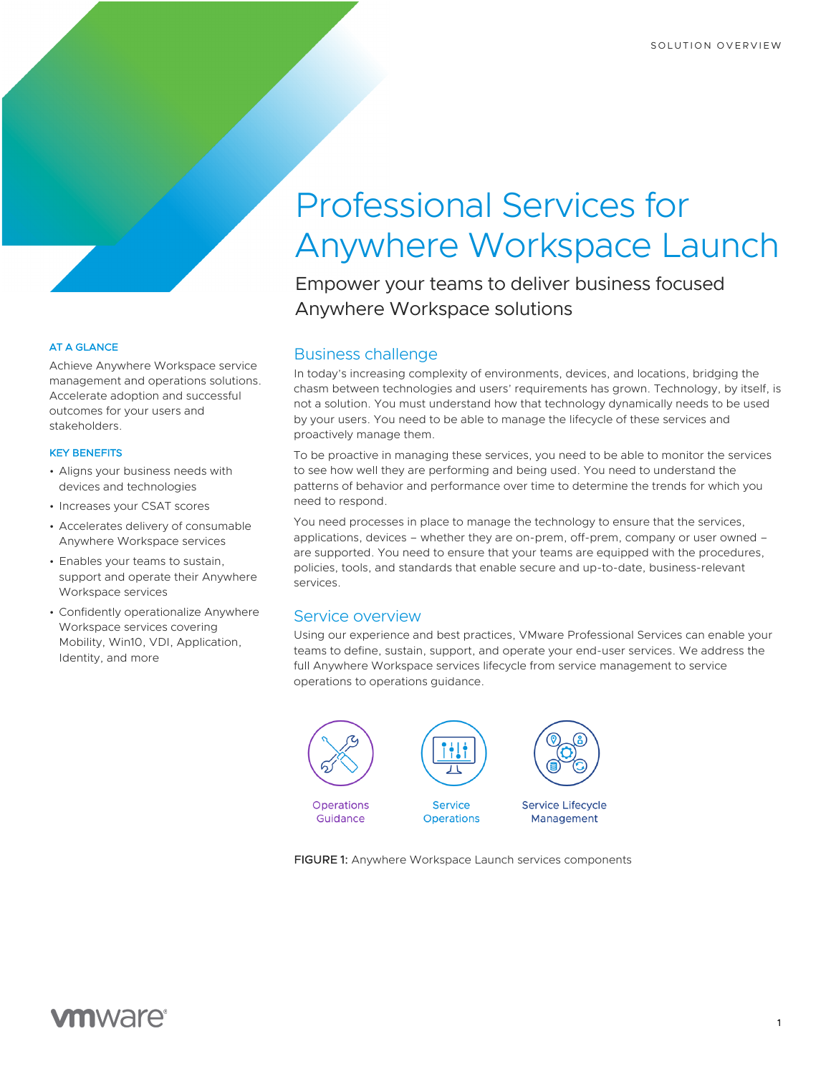## AT A GLANCE

Achieve Anywhere Workspace service management and operations solutions. Accelerate adoption and successful outcomes for your users and stakeholders.

## KEY BENEFITS

- Aligns your business needs with devices and technologies
- Increases your CSAT scores
- Accelerates delivery of consumable Anywhere Workspace services
- Enables your teams to sustain, support and operate their Anywhere Workspace services
- Confidently operationalize Anywhere Workspace services covering Mobility, Win10, VDI, Application, Identity, and more

# Professional Services for Anywhere Workspace Launch

Empower your teams to deliver business focused Anywhere Workspace solutions

# Business challenge

In today's increasing complexity of environments, devices, and locations, bridging the chasm between technologies and users' requirements has grown. Technology, by itself, is not a solution. You must understand how that technology dynamically needs to be used by your users. You need to be able to manage the lifecycle of these services and proactively manage them.

To be proactive in managing these services, you need to be able to monitor the services to see how well they are performing and being used. You need to understand the patterns of behavior and performance over time to determine the trends for which you need to respond.

You need processes in place to manage the technology to ensure that the services, applications, devices – whether they are on-prem, off-prem, company or user owned – are supported. You need to ensure that your teams are equipped with the procedures, policies, tools, and standards that enable secure and up-to-date, business-relevant services.

## Service overview

Using our experience and best practices, VMware Professional Services can enable your teams to define, sustain, support, and operate your end-user services. We address the full Anywhere Workspace services lifecycle from service management to service operations to operations guidance.



FIGURE 1: Anywhere Workspace Launch services components